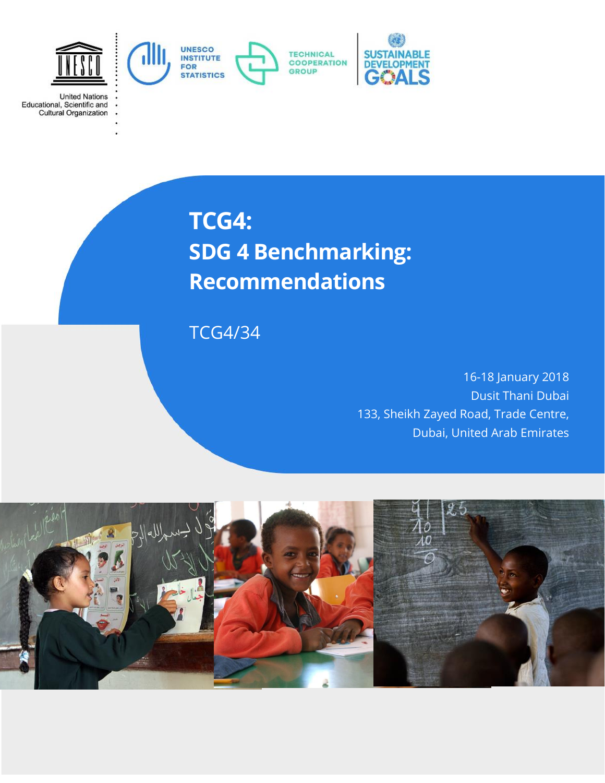

**United Nations** Educational, Scientific and<br>Cultural Organization

# **TCG4: SDG 4 Benchmarking: Recommendations**

TCG4/34

16-18 January 2018 Dusit Thani Dubai 133, Sheikh Zayed Road, Trade Centre, Dubai, United Arab Emirates

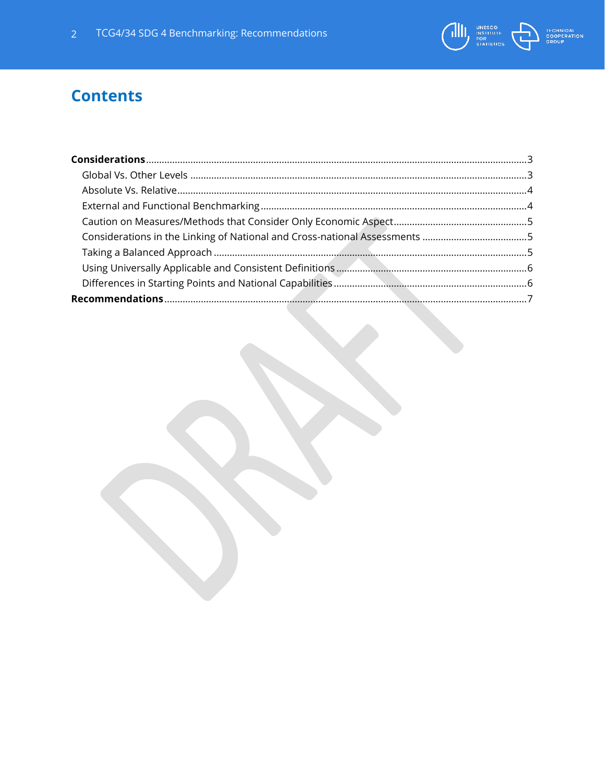

# **Contents**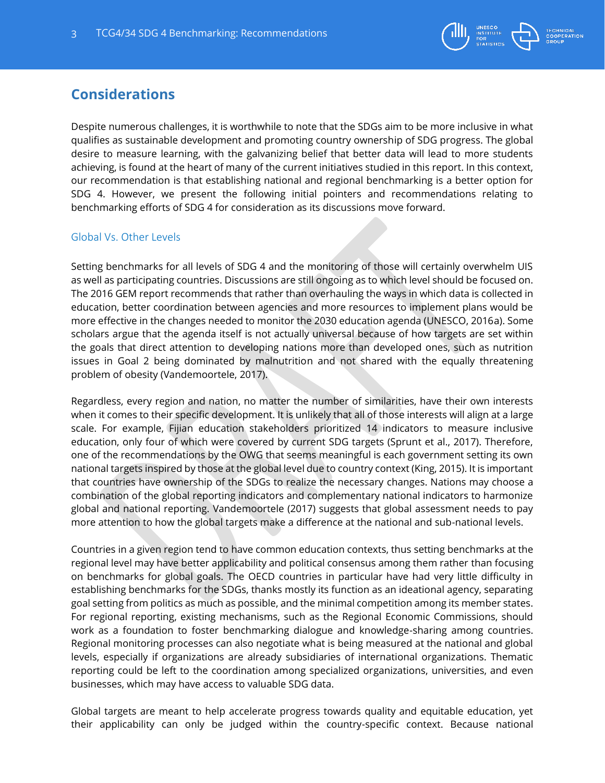

### <span id="page-2-0"></span>**Considerations**

Despite numerous challenges, it is worthwhile to note that the SDGs aim to be more inclusive in what qualifies as sustainable development and promoting country ownership of SDG progress. The global desire to measure learning, with the galvanizing belief that better data will lead to more students achieving, is found at the heart of many of the current initiatives studied in this report. In this context, our recommendation is that establishing national and regional benchmarking is a better option for SDG 4. However, we present the following initial pointers and recommendations relating to benchmarking efforts of SDG 4 for consideration as its discussions move forward.

#### <span id="page-2-1"></span>Global Vs. Other Levels

Setting benchmarks for all levels of SDG 4 and the monitoring of those will certainly overwhelm UIS as well as participating countries. Discussions are still ongoing as to which level should be focused on. The 2016 GEM report recommends that rather than overhauling the ways in which data is collected in education, better coordination between agencies and more resources to implement plans would be more effective in the changes needed to monitor the 2030 education agenda (UNESCO, 2016a). Some scholars argue that the agenda itself is not actually universal because of how targets are set within the goals that direct attention to developing nations more than developed ones, such as nutrition issues in Goal 2 being dominated by malnutrition and not shared with the equally threatening problem of obesity (Vandemoortele, 2017).

Regardless, every region and nation, no matter the number of similarities, have their own interests when it comes to their specific development. It is unlikely that all of those interests will align at a large scale. For example, Fijian education stakeholders prioritized 14 indicators to measure inclusive education, only four of which were covered by current SDG targets (Sprunt et al., 2017). Therefore, one of the recommendations by the OWG that seems meaningful is each government setting its own national targets inspired by those at the global level due to country context (King, 2015). It is important that countries have ownership of the SDGs to realize the necessary changes. Nations may choose a combination of the global reporting indicators and complementary national indicators to harmonize global and national reporting. Vandemoortele (2017) suggests that global assessment needs to pay more attention to how the global targets make a difference at the national and sub-national levels.

Countries in a given region tend to have common education contexts, thus setting benchmarks at the regional level may have better applicability and political consensus among them rather than focusing on benchmarks for global goals. The OECD countries in particular have had very little difficulty in establishing benchmarks for the SDGs, thanks mostly its function as an ideational agency, separating goal setting from politics as much as possible, and the minimal competition among its member states. For regional reporting, existing mechanisms, such as the Regional Economic Commissions, should work as a foundation to foster benchmarking dialogue and knowledge-sharing among countries. Regional monitoring processes can also negotiate what is being measured at the national and global levels, especially if organizations are already subsidiaries of international organizations. Thematic reporting could be left to the coordination among specialized organizations, universities, and even businesses, which may have access to valuable SDG data.

Global targets are meant to help accelerate progress towards quality and equitable education, yet their applicability can only be judged within the country-specific context. Because national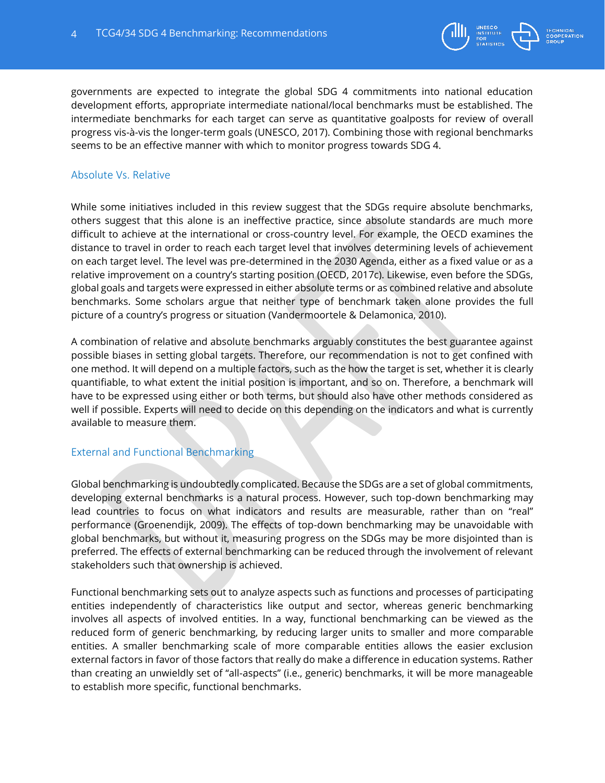

governments are expected to integrate the global SDG 4 commitments into national education development efforts, appropriate intermediate national/local benchmarks must be established. The intermediate benchmarks for each target can serve as quantitative goalposts for review of overall progress vis-à-vis the longer-term goals (UNESCO, 2017). Combining those with regional benchmarks seems to be an effective manner with which to monitor progress towards SDG 4.

#### <span id="page-3-0"></span>Absolute Vs. Relative

While some initiatives included in this review suggest that the SDGs require absolute benchmarks, others suggest that this alone is an ineffective practice, since absolute standards are much more difficult to achieve at the international or cross-country level. For example, the OECD examines the distance to travel in order to reach each target level that involves determining levels of achievement on each target level. The level was pre-determined in the 2030 Agenda, either as a fixed value or as a relative improvement on a country's starting position (OECD, 2017c). Likewise, even before the SDGs, global goals and targets were expressed in either absolute terms or as combined relative and absolute benchmarks. Some scholars argue that neither type of benchmark taken alone provides the full picture of a country's progress or situation (Vandermoortele & Delamonica, 2010).

A combination of relative and absolute benchmarks arguably constitutes the best guarantee against possible biases in setting global targets. Therefore, our recommendation is not to get confined with one method. It will depend on a multiple factors, such as the how the target is set, whether it is clearly quantifiable, to what extent the initial position is important, and so on. Therefore, a benchmark will have to be expressed using either or both terms, but should also have other methods considered as well if possible. Experts will need to decide on this depending on the indicators and what is currently available to measure them.

#### <span id="page-3-1"></span>External and Functional Benchmarking

Global benchmarking is undoubtedly complicated. Because the SDGs are a set of global commitments, developing external benchmarks is a natural process. However, such top-down benchmarking may lead countries to focus on what indicators and results are measurable, rather than on "real" performance (Groenendijk, 2009). The effects of top-down benchmarking may be unavoidable with global benchmarks, but without it, measuring progress on the SDGs may be more disjointed than is preferred. The effects of external benchmarking can be reduced through the involvement of relevant stakeholders such that ownership is achieved.

Functional benchmarking sets out to analyze aspects such as functions and processes of participating entities independently of characteristics like output and sector, whereas generic benchmarking involves all aspects of involved entities. In a way, functional benchmarking can be viewed as the reduced form of generic benchmarking, by reducing larger units to smaller and more comparable entities. A smaller benchmarking scale of more comparable entities allows the easier exclusion external factors in favor of those factors that really do make a difference in education systems. Rather than creating an unwieldly set of "all-aspects" (i.e., generic) benchmarks, it will be more manageable to establish more specific, functional benchmarks.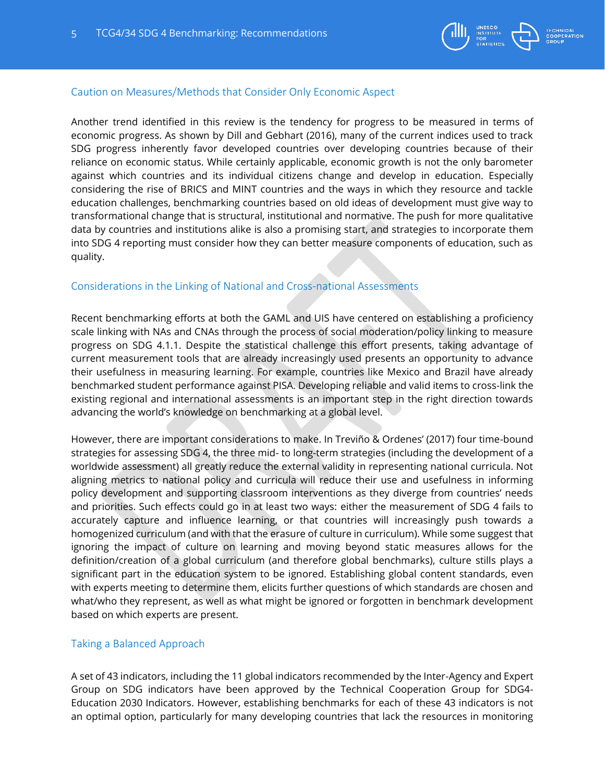

#### <span id="page-4-0"></span>Caution on Measures/Methods that Consider Only Economic Aspect

Another trend identified in this review is the tendency for progress to be measured in terms of economic progress. As shown by Dill and Gebhart (2016), many of the current indices used to track SDG progress inherently favor developed countries over developing countries because of their reliance on economic status. While certainly applicable, economic growth is not the only barometer against which countries and its individual citizens change and develop in education. Especially considering the rise of BRICS and MINT countries and the ways in which they resource and tackle education challenges, benchmarking countries based on old ideas of development must give way to transformational change that is structural, institutional and normative. The push for more qualitative data by countries and institutions alike is also a promising start, and strategies to incorporate them into SDG 4 reporting must consider how they can better measure components of education, such as quality.

#### <span id="page-4-1"></span>Considerations in the Linking of National and Cross-national Assessments

Recent benchmarking efforts at both the GAML and UIS have centered on establishing a proficiency scale linking with NAs and CNAs through the process of social moderation/policy linking to measure progress on SDG 4.1.1. Despite the statistical challenge this effort presents, taking advantage of current measurement tools that are already increasingly used presents an opportunity to advance their usefulness in measuring learning. For example, countries like Mexico and Brazil have already benchmarked student performance against PISA. Developing reliable and valid items to cross-link the existing regional and international assessments is an important step in the right direction towards advancing the world's knowledge on benchmarking at a global level.

However, there are important considerations to make. In Treviño & Ordenes' (2017) four time-bound strategies for assessing SDG 4, the three mid- to long-term strategies (including the development of a worldwide assessment) all greatly reduce the external validity in representing national curricula. Not aligning metrics to national policy and curricula will reduce their use and usefulness in informing policy development and supporting classroom interventions as they diverge from countries' needs and priorities. Such effects could go in at least two ways: either the measurement of SDG 4 fails to accurately capture and influence learning, or that countries will increasingly push towards a homogenized curriculum (and with that the erasure of culture in curriculum). While some suggest that ignoring the impact of culture on learning and moving beyond static measures allows for the definition/creation of a global curriculum (and therefore global benchmarks), culture stills plays a significant part in the education system to be ignored. Establishing global content standards, even with experts meeting to determine them, elicits further questions of which standards are chosen and what/who they represent, as well as what might be ignored or forgotten in benchmark development based on which experts are present.

#### <span id="page-4-2"></span>Taking a Balanced Approach

A set of 43 indicators, including the 11 global indicators recommended by the Inter-Agency and Expert Group on SDG indicators have been approved by the Technical Cooperation Group for SDG4- Education 2030 Indicators. However, establishing benchmarks for each of these 43 indicators is not an optimal option, particularly for many developing countries that lack the resources in monitoring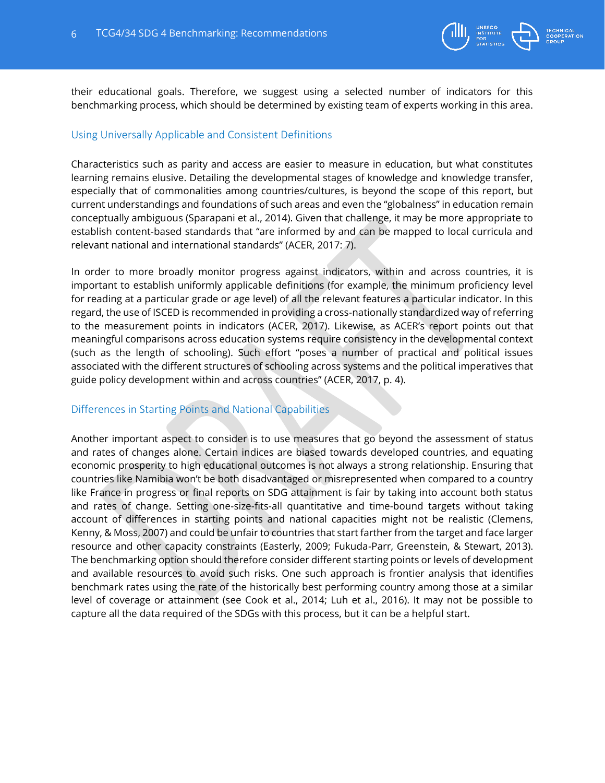

their educational goals. Therefore, we suggest using a selected number of indicators for this benchmarking process, which should be determined by existing team of experts working in this area.

#### <span id="page-5-0"></span>Using Universally Applicable and Consistent Definitions

Characteristics such as parity and access are easier to measure in education, but what constitutes learning remains elusive. Detailing the developmental stages of knowledge and knowledge transfer, especially that of commonalities among countries/cultures, is beyond the scope of this report, but current understandings and foundations of such areas and even the "globalness" in education remain conceptually ambiguous (Sparapani et al., 2014). Given that challenge, it may be more appropriate to establish content-based standards that "are informed by and can be mapped to local curricula and relevant national and international standards" (ACER, 2017: 7).

In order to more broadly monitor progress against indicators, within and across countries, it is important to establish uniformly applicable definitions (for example, the minimum proficiency level for reading at a particular grade or age level) of all the relevant features a particular indicator. In this regard, the use of ISCED is recommended in providing a cross-nationally standardized way of referring to the measurement points in indicators (ACER, 2017). Likewise, as ACER's report points out that meaningful comparisons across education systems require consistency in the developmental context (such as the length of schooling). Such effort "poses a number of practical and political issues associated with the different structures of schooling across systems and the political imperatives that guide policy development within and across countries" (ACER, 2017, p. 4).

#### <span id="page-5-1"></span>Differences in Starting Points and National Capabilities

Another important aspect to consider is to use measures that go beyond the assessment of status and rates of changes alone. Certain indices are biased towards developed countries, and equating economic prosperity to high educational outcomes is not always a strong relationship. Ensuring that countries like Namibia won't be both disadvantaged or misrepresented when compared to a country like France in progress or final reports on SDG attainment is fair by taking into account both status and rates of change. Setting one-size-fits-all quantitative and time-bound targets without taking account of differences in starting points and national capacities might not be realistic (Clemens, Kenny, & Moss, 2007) and could be unfair to countries that start farther from the target and face larger resource and other capacity constraints (Easterly, 2009; Fukuda-Parr, Greenstein, & Stewart, 2013). The benchmarking option should therefore consider different starting points or levels of development and available resources to avoid such risks. One such approach is frontier analysis that identifies benchmark rates using the rate of the historically best performing country among those at a similar level of coverage or attainment (see Cook et al., 2014; Luh et al., 2016). It may not be possible to capture all the data required of the SDGs with this process, but it can be a helpful start.